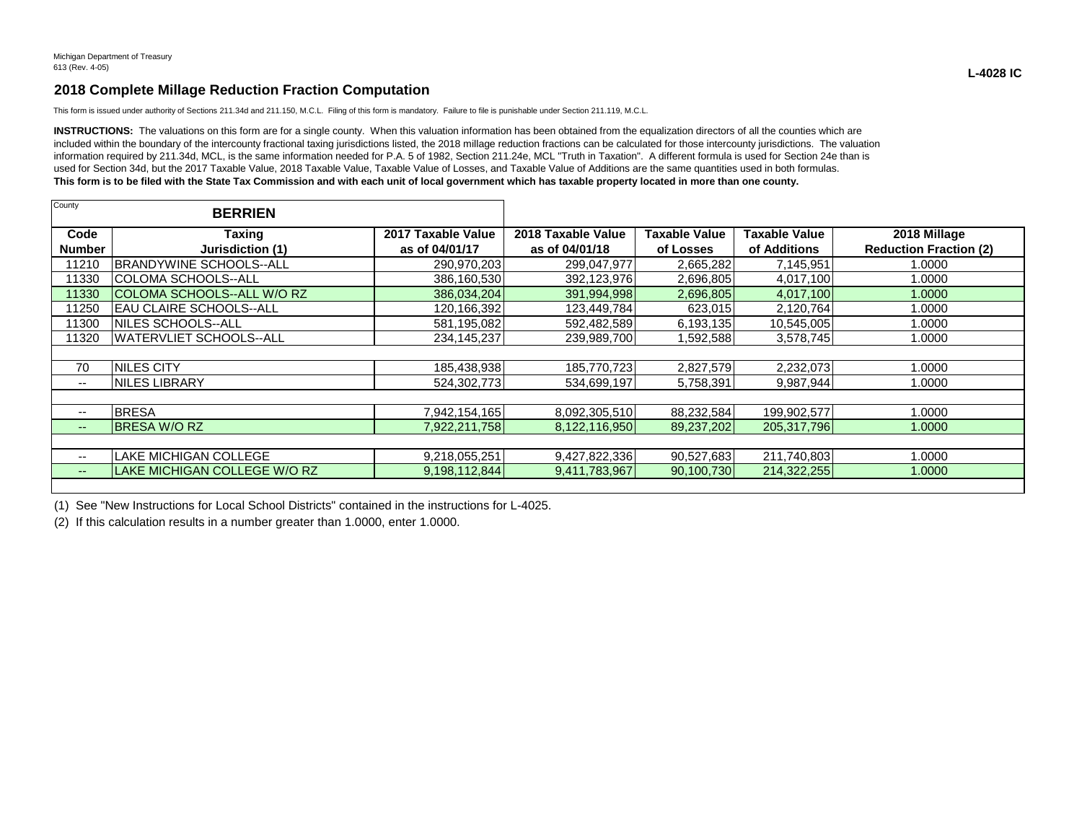## **2018 Complete Millage Reduction Fraction Computation**

This form is issued under authority of Sections 211.34d and 211.150, M.C.L. Filing of this form is mandatory. Failure to file is punishable under Section 211.119, M.C.L.

INSTRUCTIONS: The valuations on this form are for a single county. When this valuation information has been obtained from the equalization directors of all the counties which are included within the boundary of the intercounty fractional taxing jurisdictions listed, the 2018 millage reduction fractions can be calculated for those intercounty jurisdictions. The valuation information required by 211.34d, MCL, is the same information needed for P.A. 5 of 1982, Section 211.24e, MCL "Truth in Taxation". A different formula is used for Section 24e than is used for Section 34d, but the 2017 Taxable Value, 2018 Taxable Value, Taxable Value of Losses, and Taxable Value of Additions are the same quantities used in both formulas. **This form is to be filed with the State Tax Commission and with each unit of local government which has taxable property located in more than one county.**

| County                | <b>BERRIEN</b>                     |                                      |                                      |                            |                                      |                                               |
|-----------------------|------------------------------------|--------------------------------------|--------------------------------------|----------------------------|--------------------------------------|-----------------------------------------------|
| Code<br><b>Number</b> | Taxing<br>Jurisdiction (1)         | 2017 Taxable Value<br>as of 04/01/17 | 2018 Taxable Value<br>as of 04/01/18 | Taxable Value<br>of Losses | <b>Taxable Value</b><br>of Additions | 2018 Millage<br><b>Reduction Fraction (2)</b> |
| 11210                 | <b>IBRANDYWINE SCHOOLS--ALL</b>    | 290,970,203                          | 299,047,977                          | 2,665,282                  | 7,145,951                            | 1.0000                                        |
| 11330                 | COLOMA SCHOOLS--ALL                | 386,160,530                          | 392,123,976                          | 2,696,805                  | 4,017,100                            | 1.0000                                        |
| 11330                 | <b>ICOLOMA SCHOOLS--ALL W/O RZ</b> | 386,034,204                          | 391,994,998                          | 2,696,805                  | 4,017,100                            | 1.0000                                        |
| 11250                 | IEAU CLAIRE SCHOOLS--ALL           | 120,166,392                          | 123,449,784                          | 623,015                    | 2,120,764                            | 1.0000                                        |
| 11300                 | NILES SCHOOLS--ALL                 | 581,195,082                          | 592,482,589                          | 6,193,135                  | 10,545,005                           | 1.0000                                        |
| 11320                 | <b>WATERVLIET SCHOOLS--ALL</b>     | 234, 145, 237                        | 239,989,700                          | 592,588                    | 3,578,745                            | 1.0000                                        |
|                       |                                    |                                      |                                      |                            |                                      |                                               |
| 70                    | <b>INILES CITY</b>                 | 185,438,938                          | 185,770,723                          | 2,827,579                  | 2,232,073                            | 1.0000                                        |
| --                    | <b>INILES LIBRARY</b>              | 524,302,773                          | 534,699,197                          | 5,758,391                  | 9,987,944                            | 1.0000                                        |
|                       |                                    |                                      |                                      |                            |                                      |                                               |
| $- -$                 | <b>BRESA</b>                       | 7,942,154,165                        | 8,092,305,510                        | 88,232,584                 | 199,902,577                          | 1.0000                                        |
| $--$                  | <b>BRESA W/O RZ</b>                | 7,922,211,758                        | 8,122,116,950                        | 89,237,202                 | 205,317,796                          | 1.0000                                        |
|                       |                                    |                                      |                                      |                            |                                      |                                               |
| --                    | <b>LAKE MICHIGAN COLLEGE</b>       | 9,218,055,251                        | 9,427,822,336                        | 90,527,683                 | 211,740,803                          | 1.0000                                        |
| $- -$                 | LAKE MICHIGAN COLLEGE W/O RZ       | 9,198,112,844                        | 9,411,783,967                        | 90,100,730                 | 214,322,255                          | 1.0000                                        |
|                       |                                    |                                      |                                      |                            |                                      |                                               |

(1) See "New Instructions for Local School Districts" contained in the instructions for L-4025.

(2) If this calculation results in a number greater than 1.0000, enter 1.0000.